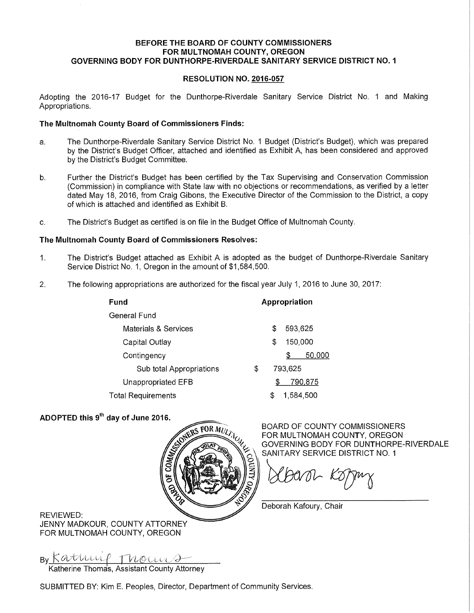### **BEFORE THE BOARD OF COUNTY COMMISSIONERS FOR MULTNOMAH COUNTY, OREGON GOVERNING BODY FOR DUNTHORPE-RIVERDALE SANITARY SERVICE DISTRICT NO. 1**

### **RESOLUTION NO. 2016-057**

Adopting the 2016-17 Budget for the Dunthorpe-Riverdale Sanitary Service District No. 1 and Making Appropriations.

### **The Multnomah County Board of Commissioners Finds:**

- a. The Dunthorpe-Riverdale Sanitary Service District No. 1 Budget (District's Budget), which was prepared by the District's Budget Officer, attached and identified as Exhibit A, has been considered and approved by the District's Budget Committee.
- b. Further the District's Budget has been certified by the Tax Supervising and Conservation Commission (Commission) in compliance with State law with no objections or recommendations, as verified by a letter dated May 18, 2016, from Craig Gibons, the Executive Director of the Commission to the District, a copy of which is attached and identified as Exhibit B.
- c. The District's Budget as certified is on file in the Budget Office of Multnomah County.

### **The Multnomah County Board of Commissioners Resolves:**

- 1. The District's Budget attached as Exhibit A is adopted as the budget of Dunthorpe-Riverdale Sanitary Service District No. 1, Oregon in the amount of \$1,584,500.
- 2. The following appropriations are authorized for the fiscal year July 1, 2016 to June 30, 2017:

| runa                      | Appropriation |               |           |        |
|---------------------------|---------------|---------------|-----------|--------|
| General Fund              |               |               |           |        |
| Materials & Services      |               | \$            | 593,625   |        |
| Capital Outlay            |               | 150,000<br>\$ |           |        |
| Contingency               |               |               | S         | 50,000 |
| Sub total Appropriations  | \$            | 793,625       |           |        |
| Unappropriated EFB        |               | 790.875<br>\$ |           |        |
| <b>Total Requirements</b> |               | S             | 1.584.500 |        |

### **ADOPTED this 9th day of June 2016.**

**Fund** 



BOARD OF COUNTY COMMISSIONERS FOR MULTNOMAH COUNTY, OREGON GOVERNING BODY FOR DUNTHORPE-RIVERDALE SANITARY SERVICE DISTRICT NO. 1

Deborah Kafoury, Chair

**Appropriation** 

REVIEWED: JENNY MADKOUR, COUNTY ATTORNEY FOR MULTNOMAH COUNTY, OREGON

By Kathrie Thom Katherine Thomas, Assistant County Attorney

SUBMITTED BY: Kim E. Peoples, Director, Department of Community Services.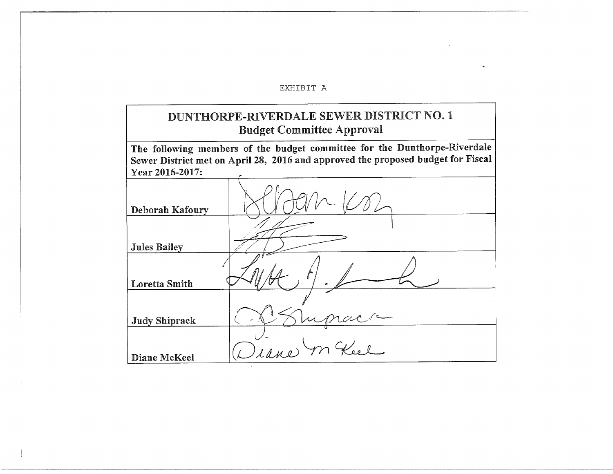#### EXHIBIT A

## DUNTHORPE-RIVERDALE SEWER DISTRICT NO. 1 **Budget Committee Approval**

The following members of the budget committee for the Dunthorpe-Riverdale Sewer District met on April 28, 2016 and approved the proposed budget for Fiscal Year 2016-2017:

| Deborah Kafoury      |                 |
|----------------------|-----------------|
| <b>Jules Bailey</b>  |                 |
| <b>Loretta Smith</b> | ۰               |
| <b>Judy Shiprack</b> |                 |
| Diane McKeel         | Diane<br>m Keel |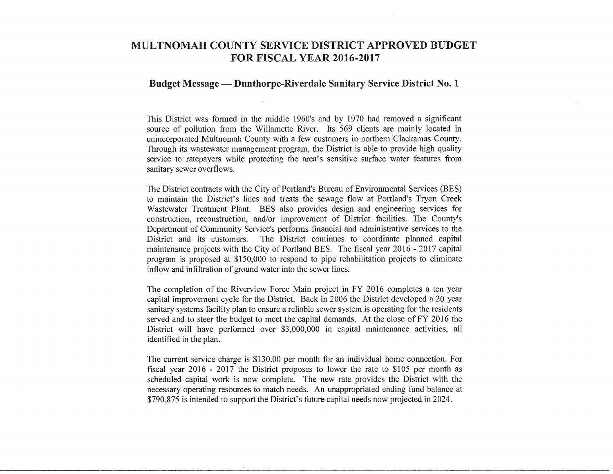## **MULTNOMAH COUNTY SERVICE DISTRICT APPROVED BUDGET FOR FISCAL YEAR 2016-2017**

#### **Budget Message — Dunthorpe-Riverdale Sanitary Service District No. 1**

This District was formed in the middle 1960's and by 1970 had removed a significant source of pollution from the Willamette River. Its 569 clients are mainly located in unincorporated Multnomah County with a few customers in northern Clackamas County. Through its wastewater management program, the District is able to provide high quality service to ratepayers while protecting the area's sensitive surface water features from sanitary sewer overflows.

The District contracts with the City of Portland's Bureau of Environmental Services (BES) to maintain the District's lines and treats the sewage flow at Portland's Tryon Creek Wastewater Treatment Plant. BES also provides design and engineering services for construction, reconstruction, and/or improvement of District facilities. The County's Department of Community Service's performs financial and administrative services to the District and its customers. The District continues to coordinate planned capital maintenance projects with the City of Portland BES. The fiscal year 2016 - 2017 capital program is proposed at \$150,000 to respond to pipe rehabilitation projects to eliminate inflow and infiltration of ground water into the sewer lines.

The completion of the Riverview Force Main project in FY 2016 completes a ten year capital improvement cycle for the District. Back in 2006 the District developed a 20 year sanitary systems facility plan to ensure a reliable sewer system is operating for the residents served and to steer the budget to meet the capital demands. At the close of FY 2016 the District will have performed over \$3,000,000 in capital maintenance activities, all identified in the plan.

The current service charge is \$130.00 per month for an individual home connection. For fiscal year 2016 - 2017 the District proposes to lower the rate to \$105 per month as scheduled capital work is now complete. The new rate provides the District with the necessary operating resources to match needs. An unappropriated ending fund balance at \$790,875 is intended to support the District's future capital needs now projected in 2024.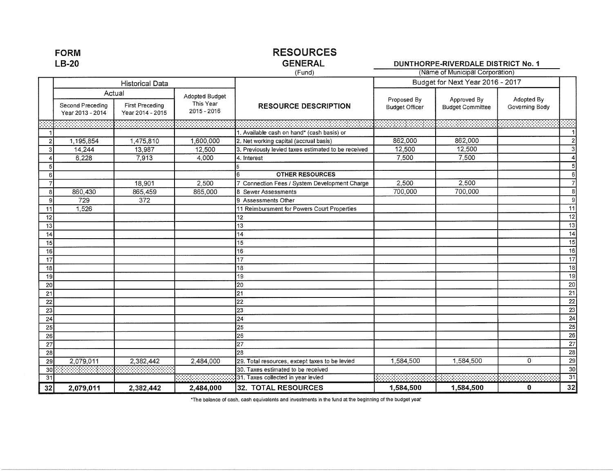| $LB-20$         |                                                | <b>GENERAL</b>                      | DUNTHORPE-RIVERDALE DISTRICT No. 1         |                                                     |                                      |                                        |                              |                           |
|-----------------|------------------------------------------------|-------------------------------------|--------------------------------------------|-----------------------------------------------------|--------------------------------------|----------------------------------------|------------------------------|---------------------------|
|                 |                                                |                                     | (Fund)                                     | (Name of Municipal Corporation)                     |                                      |                                        |                              |                           |
|                 | <b>Historical Data</b>                         |                                     |                                            |                                                     | Budget for Next Year 2016 - 2017     |                                        |                              |                           |
|                 | Actual<br>Second Preceding<br>Year 2013 - 2014 | First Preceding<br>Year 2014 - 2015 | Adopted Budget<br>This Year<br>2015 - 2016 | <b>RESOURCE DESCRIPTION</b>                         | Proposed By<br><b>Budget Officer</b> | Approved By<br><b>Budget Committee</b> | Adopted By<br>Governing Body |                           |
|                 |                                                |                                     |                                            |                                                     |                                      |                                        |                              |                           |
|                 |                                                |                                     |                                            | 1. Available cash on hand* (cash basis) or          |                                      |                                        |                              |                           |
| $\overline{2}$  | 1,195,854                                      | 1,475,810                           | 1,600,000                                  | 2. Net working capital (accrual basis)              | 862,000                              | 862,000                                |                              | $\overline{2}$            |
| 3 <sup>1</sup>  | 14,244                                         | 13,987                              | 12,500                                     | 3. Previously levied taxes estimated to be received | 12,500                               | 12,500                                 |                              | $\overline{\overline{3}}$ |
|                 | 6,228                                          | 7,913                               | 4,000                                      | 4. Interest                                         | 7,500                                | 7,500                                  |                              | 4                         |
| 5 <sub>l</sub>  |                                                |                                     |                                            |                                                     |                                      |                                        |                              | 5                         |
| $6 \mid$        |                                                |                                     |                                            | <b>OTHER RESOURCES</b><br>6                         |                                      |                                        |                              | 6                         |
| $\overline{7}$  |                                                | 18,901                              | 2,500                                      | Connection Fees / System Development Charge         | 2,500                                | 2,500                                  |                              | $\overline{7}$            |
| 8               | 860,430                                        | 865,459                             | 865,000                                    | 8 Sewer Assessments                                 | 700,000                              | 700,000                                |                              | $\,$ 8                    |
| $\mathbf{9}$    | 729                                            | 372                                 |                                            | 9 Assessments Other                                 |                                      |                                        |                              | 9                         |
| 11              | 1,526                                          |                                     |                                            | 11 Reimbursment for Powers Court Properties         |                                      |                                        |                              | $\overline{11}$           |
| 12              |                                                |                                     |                                            | 12                                                  |                                      |                                        |                              | $\overline{12}$           |
| 13              |                                                |                                     |                                            | 13                                                  |                                      |                                        |                              | $\overline{13}$           |
| 14              |                                                |                                     |                                            | 14                                                  |                                      |                                        |                              | $\overline{14}$           |
| 15              |                                                |                                     |                                            | 15                                                  |                                      |                                        |                              | $\overline{15}$           |
| 16              |                                                |                                     |                                            | 16                                                  |                                      |                                        |                              | $\overline{16}$           |
| $\overline{17}$ |                                                |                                     |                                            | 17                                                  |                                      |                                        |                              | $\overline{17}$           |
| 18              |                                                |                                     |                                            | 18                                                  |                                      |                                        |                              | $\overline{18}$           |
| 19              |                                                |                                     |                                            | 19                                                  |                                      |                                        |                              | $\overline{19}$           |
| 20              |                                                |                                     |                                            | 20                                                  |                                      |                                        |                              | 20                        |
| 21              |                                                |                                     |                                            | $\overline{21}$                                     |                                      |                                        |                              | $\overline{21}$           |
| $\overline{22}$ |                                                |                                     |                                            | $\overline{22}$                                     |                                      |                                        |                              | $\overline{22}$           |
| 23              |                                                |                                     |                                            | 23                                                  |                                      |                                        |                              | $\overline{23}$           |
| 24              |                                                |                                     |                                            | $\overline{24}$                                     |                                      |                                        |                              | $\overline{24}$           |
| 25              |                                                |                                     |                                            | 25                                                  |                                      |                                        |                              | $\overline{25}$           |
| $\overline{26}$ |                                                |                                     |                                            | 26                                                  |                                      |                                        |                              | $\overline{26}$           |
| 27              |                                                |                                     |                                            | $\overline{27}$                                     |                                      |                                        |                              | 27                        |
| 28              |                                                |                                     |                                            | 28                                                  |                                      |                                        |                              | 28                        |
| 29              | 2,079,011                                      | 2,382,442                           | 2,484,000                                  | 29. Total resources, except taxes to be levied      | 1,584,500                            | 1,584,500                              | 0                            | 29                        |
| 30 <sub>0</sub> |                                                |                                     |                                            | 30. Taxes estimated to be received                  |                                      |                                        |                              | 30                        |
| 31              |                                                |                                     |                                            | 31. Taxes collected in year levied                  |                                      |                                        |                              | $\overline{31}$           |
| 32              | 2,079,011                                      | 2,382,442                           | 2,484,000                                  | <b>32. TOTAL RESOURCES</b>                          | 1,584,500                            | 1,584,500                              | 0                            | 32                        |

\*The balance of cash, cash equivalents and investments in the fund at the beginning of the budget year

**FORM** 

# **RESOURCES**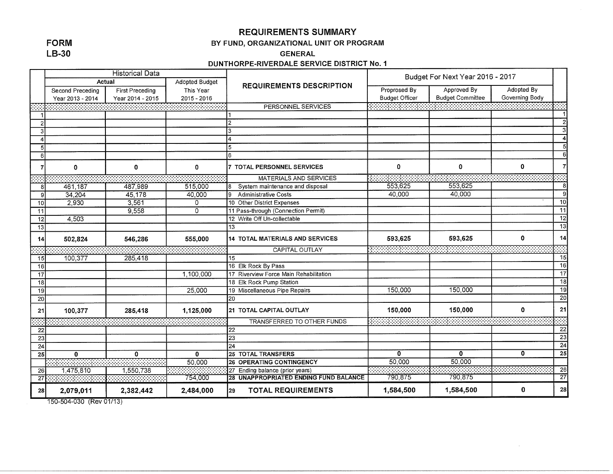### **REQUIREMENTS SUMMARY**

### **FORM**  $LB-30$

### BY FUND, ORGANIZATIONAL UNIT OR PROGRAM

**GENERAL** 

DUNTHORPE-RIVERDALE SERVICE DISTRICT No. 1

|                | <b>Historical Data</b>   |                        |                | <b>REQUIREMENTS DESCRIPTION</b>        | Budget For Next Year 2016 - 2017 |                         |                |                         |
|----------------|--------------------------|------------------------|----------------|----------------------------------------|----------------------------------|-------------------------|----------------|-------------------------|
|                | Actual<br>Adopted Budget |                        |                |                                        |                                  |                         |                |                         |
|                | Second Preceding         | <b>First Preceding</b> | This Year      |                                        | Proprosed By                     | Approved By             | Adopted By     |                         |
|                | Year 2013 - 2014         | Year 2014 - 2015       | 2015 - 2016    |                                        | <b>Budget Officer</b>            | <b>Budget Committee</b> | Governing Body |                         |
|                |                          |                        |                | PERSONNEL SERVICES                     |                                  |                         |                |                         |
|                |                          |                        |                |                                        |                                  |                         |                |                         |
| $\overline{2}$ |                          |                        |                |                                        |                                  |                         |                | $\overline{2}$          |
| 3              |                          |                        |                | 3                                      |                                  |                         |                | $\overline{\mathbf{3}}$ |
|                |                          |                        |                |                                        |                                  |                         |                | $\overline{4}$          |
| 5              |                          |                        |                | 5                                      |                                  |                         |                | $\overline{\mathbf{5}}$ |
| 6              |                          |                        |                | ĥ.                                     |                                  |                         |                | 6                       |
|                | $\mathbf 0$              | 0                      | 0              | 7 TOTAL PERSONNEL SERVICES             | $\mathbf 0$                      | 0                       | $\mathbf 0$    | $\overline{7}$          |
|                |                          |                        |                | <b>MATERIALS AND SERVICES</b>          |                                  |                         |                |                         |
| 8              | 461,187                  | 487,989                | 515,000        | System maintenance and disposal        | 553,625                          | 553.625                 |                | 8                       |
| 9              | 34,204                   | 45,178                 | 40,000         | l9.<br><b>Administrative Costs</b>     | 40,000                           | 40,000                  |                | $\overline{9}$          |
| 10             | 2,930                    | 3,561                  | 0              | 10 Other District Expenses             |                                  |                         |                | $\overline{10}$         |
| 11             |                          | 9,558                  | $\overline{0}$ | 11 Pass-through (Connection Permit)    |                                  |                         |                | 11                      |
| 12             | 4,503                    |                        |                | 12 Write Off Un-collectable            |                                  |                         |                | $\overline{12}$         |
| 13             |                          |                        |                | 13                                     |                                  |                         |                | $\overline{13}$         |
| 14             | 502,824                  | 546,286                | 555,000        | 14 TOTAL MATERIALS AND SERVICES        | 593,625                          | 593,625                 | $\mathbf{0}$   | 14                      |
|                |                          |                        |                | CAPITAL OUTLAY                         |                                  |                         |                |                         |
| 15             | 100,377                  | 285,418                |                | 15                                     |                                  |                         |                | 15                      |
| 16             |                          |                        |                | 16 Elk Rock By Pass                    |                                  |                         |                | 16                      |
| 17             |                          |                        | 1,100,000      | 17 Riverview Force Main Rehabilitation |                                  |                         |                | $\overline{17}$         |
| 18             |                          |                        |                | 18 Elk Rock Pump Station               |                                  |                         |                | $\overline{18}$         |
| 19             |                          |                        | 25,000         | 19 Miscellaneous Pipe Repairs          | 150,000                          | 150,000                 |                | $\overline{19}$         |
| 20             |                          |                        |                | 20                                     |                                  |                         |                | $\overline{20}$         |
| 21             | 100,377                  | 285,418                | 1,125,000      | 21 TOTAL CAPITAL OUTLAY                | 150,000                          | 150,000                 | $\bf{0}$       | 21                      |
|                |                          |                        |                | TRANSFERRED TO OTHER FUNDS             |                                  |                         |                |                         |
| 22             |                          |                        |                | 22                                     |                                  |                         |                | 22                      |
| 23             |                          |                        |                | 23                                     |                                  |                         |                | $\overline{23}$         |
| 24             |                          |                        |                | $\overline{24}$                        |                                  |                         |                | $\overline{24}$         |
| 25             | $\mathbf{0}$             | $\mathbf{0}$           | $\mathbf{0}$   | <b>25 TOTAL TRANSFERS</b>              | Ō                                | $\mathbf{0}$            | $\mathbf{0}$   | $\overline{25}$         |
|                |                          |                        | 50,000         | <b>26 OPERATING CONTINGENCY</b>        | 50,000                           | 50,000                  |                |                         |
| 26             | 1,475,810                | 1,550,738              |                | 27 Ending balance (prior years)        |                                  |                         |                | $\overline{26}$         |
| 27             |                          |                        | 754,000        | 28 UNAPPROPRIATED ENDING FUND BALANCE  | 790,875                          | 790,875                 |                | $\overline{27}$         |
| 28             | 2,079,011                | 2,382,442              | 2,484,000      | <b>TOTAL REQUIREMENTS</b><br>l29       | 1,584,500                        | 1,584,500               | $\mathbf 0$    | 28                      |

150-504-030 (Rev 01/13)